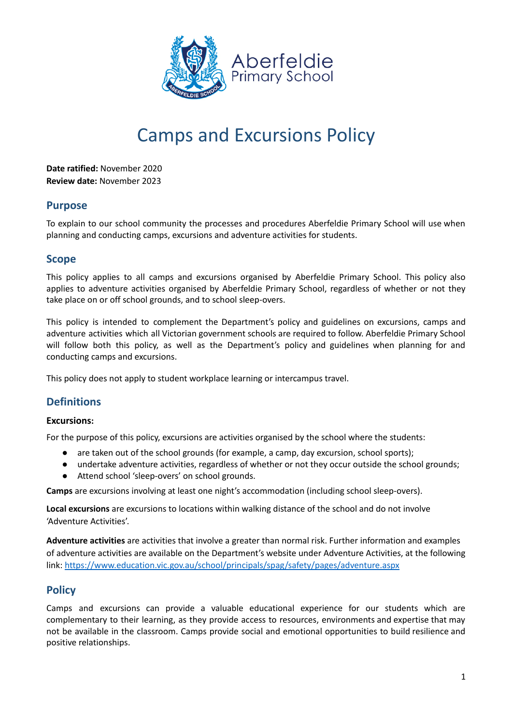

# Camps and Excursions Policy

**Date ratified:** November 2020 **Review date:** November 2023

## **Purpose**

To explain to our school community the processes and procedures Aberfeldie Primary School will use when planning and conducting camps, excursions and adventure activities for students.

## **Scope**

This policy applies to all camps and excursions organised by Aberfeldie Primary School. This policy also applies to adventure activities organised by Aberfeldie Primary School, regardless of whether or not they take place on or off school grounds, and to school sleep-overs.

This policy is intended to complement the Department's policy and guidelines on excursions, camps and adventure activities which all Victorian government schools are required to follow. Aberfeldie Primary School will follow both this policy, as well as the Department's policy and guidelines when planning for and conducting camps and excursions.

This policy does not apply to student workplace learning or intercampus travel.

# **Definitions**

## **Excursions:**

For the purpose of this policy, excursions are activities organised by the school where the students:

- are taken out of the school grounds (for example, a camp, day excursion, school sports);
- undertake adventure activities, regardless of whether or not they occur outside the school grounds;
- Attend school 'sleep-overs' on school grounds.

**Camps** are excursions involving at least one night's accommodation (including school sleep-overs).

**Local excursions** are excursions to locations within walking distance of the school and do not involve 'Adventure Activities'.

**Adventure activities** are activities that involve a greater than normal risk. Further information and examples of adventure activities are available on the Department's website under Adventure Activities, at the following link: <https://www.education.vic.gov.au/school/principals/spag/safety/pages/adventure.aspx>

# **Policy**

Camps and excursions can provide a valuable educational experience for our students which are complementary to their learning, as they provide access to resources, environments and expertise that may not be available in the classroom. Camps provide social and emotional opportunities to build resilience and positive relationships.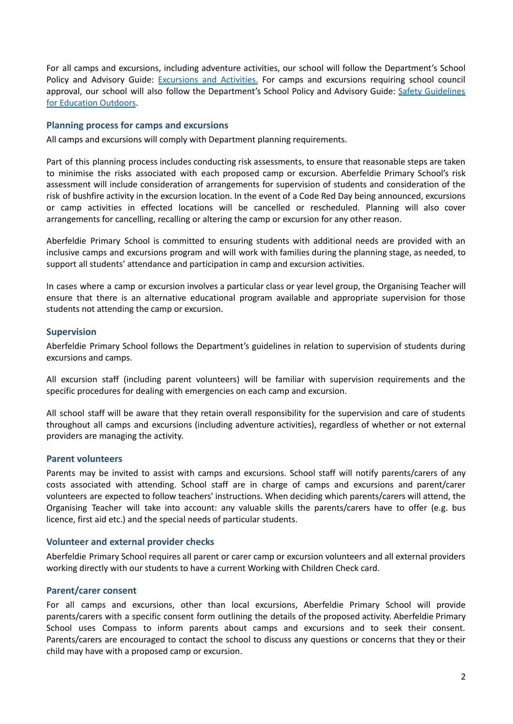For all camps and excursions, including adventure activities, our school will follow the Department's School Policy and Advisory Guide: [Excursions](http://www.education.vic.gov.au/school/principals/spag/safety/pages/excursions.aspx) and Activities. For camps and excursions requiring school council approval, our school will also follow the Department's School Policy and Advisory Guide: Safety [Guidelines](https://www.education.vic.gov.au/school/teachers/studentmanagement/excursions/Pages/outdoorguidelines.aspx) for [Education](https://www.education.vic.gov.au/school/teachers/studentmanagement/excursions/Pages/outdoorguidelines.aspx) Outdoors.

#### **Planning process for camps and excursions**

All camps and excursions will comply with Department planning requirements.

Part of this planning process includes conducting risk assessments, to ensure that reasonable steps are taken to minimise the risks associated with each proposed camp or excursion. Aberfeldie Primary School's risk assessment will include consideration of arrangements for supervision of students and consideration of the risk of bushfire activity in the excursion location. In the event of a Code Red Day being announced, excursions or camp activities in effected locations will be cancelled or rescheduled. Planning will also cover arrangements for cancelling, recalling or altering the camp or excursion for any other reason.

Aberfeldie Primary School is committed to ensuring students with additional needs are provided with an inclusive camps and excursions program and will work with families during the planning stage, as needed, to support all students' attendance and participation in camp and excursion activities.

In cases where a camp or excursion involves a particular class or year level group, the Organising Teacher will ensure that there is an alternative educational program available and appropriate supervision for those students not attending the camp or excursion.

#### **Supervision**

Aberfeldie Primary School follows the Department's guidelines in relation to supervision of students during excursions and camps.

All excursion staff (including parent volunteers) will be familiar with supervision requirements and the specific procedures for dealing with emergencies on each camp and excursion.

All school staff will be aware that they retain overall responsibility for the supervision and care of students throughout all camps and excursions (including adventure activities), regardless of whether or not external providers are managing the activity.

#### **Parent volunteers**

Parents may be invited to assist with camps and excursions. School staff will notify parents/carers of any costs associated with attending. School staff are in charge of camps and excursions and parent/carer volunteers are expected to follow teachers' instructions. When deciding which parents/carers will attend, the Organising Teacher will take into account: any valuable skills the parents/carers have to offer (e.g. bus licence, first aid etc.) and the special needs of particular students.

#### **Volunteer and external provider checks**

Aberfeldie Primary School requires all parent or carer camp or excursion volunteers and all external providers working directly with our students to have a current Working with Children Check card.

#### **Parent/carer consent**

For all camps and excursions, other than local excursions, Aberfeldie Primary School will provide parents/carers with a specific consent form outlining the details of the proposed activity. Aberfeldie Primary School uses Compass to inform parents about camps and excursions and to seek their consent. Parents/carers are encouraged to contact the school to discuss any questions or concerns that they or their child may have with a proposed camp or excursion.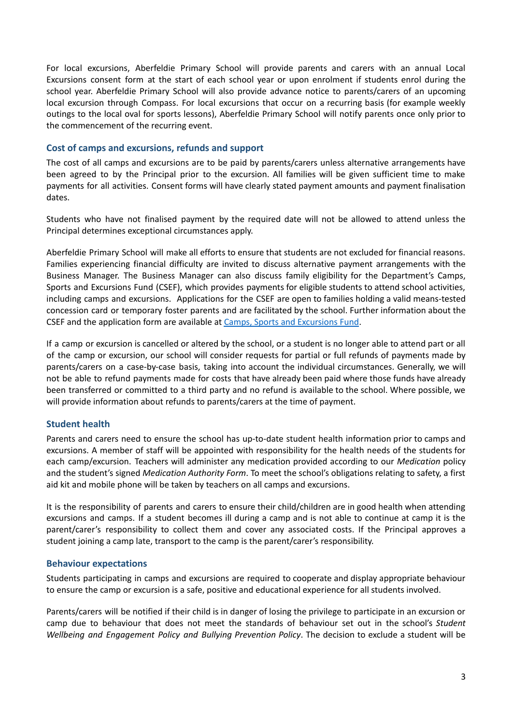For local excursions, Aberfeldie Primary School will provide parents and carers with an annual Local Excursions consent form at the start of each school year or upon enrolment if students enrol during the school year. Aberfeldie Primary School will also provide advance notice to parents/carers of an upcoming local excursion through Compass. For local excursions that occur on a recurring basis (for example weekly outings to the local oval for sports lessons), Aberfeldie Primary School will notify parents once only prior to the commencement of the recurring event.

#### **Cost of camps and excursions, refunds and support**

The cost of all camps and excursions are to be paid by parents/carers unless alternative arrangements have been agreed to by the Principal prior to the excursion. All families will be given sufficient time to make payments for all activities. Consent forms will have clearly stated payment amounts and payment finalisation dates.

Students who have not finalised payment by the required date will not be allowed to attend unless the Principal determines exceptional circumstances apply.

Aberfeldie Primary School will make all efforts to ensure that students are not excluded for financial reasons. Families experiencing financial difficulty are invited to discuss alternative payment arrangements with the Business Manager. The Business Manager can also discuss family eligibility for the Department's Camps, Sports and Excursions Fund (CSEF), which provides payments for eligible students to attend school activities, including camps and excursions. Applications for the CSEF are open to families holding a valid means-tested concession card or temporary foster parents and are facilitated by the school. Further information about the CSEF and the application form are available at Camps, Sports and [Excursions](http://www.education.vic.gov.au/about/programs/Pages/csef.aspx) Fund.

If a camp or excursion is cancelled or altered by the school, or a student is no longer able to attend part or all of the camp or excursion, our school will consider requests for partial or full refunds of payments made by parents/carers on a case-by-case basis, taking into account the individual circumstances. Generally, we will not be able to refund payments made for costs that have already been paid where those funds have already been transferred or committed to a third party and no refund is available to the school. Where possible, we will provide information about refunds to parents/carers at the time of payment.

## **Student health**

Parents and carers need to ensure the school has up-to-date student health information prior to camps and excursions. A member of staff will be appointed with responsibility for the health needs of the students for each camp/excursion. Teachers will administer any medication provided according to our *Medication* policy and the student's signed *Medication Authority Form*. To meet the school's obligations relating to safety, a first aid kit and mobile phone will be taken by teachers on all camps and excursions.

It is the responsibility of parents and carers to ensure their child/children are in good health when attending excursions and camps. If a student becomes ill during a camp and is not able to continue at camp it is the parent/carer's responsibility to collect them and cover any associated costs. If the Principal approves a student joining a camp late, transport to the camp is the parent/carer's responsibility.

## **Behaviour expectations**

Students participating in camps and excursions are required to cooperate and display appropriate behaviour to ensure the camp or excursion is a safe, positive and educational experience for all students involved.

Parents/carers will be notified if their child is in danger of losing the privilege to participate in an excursion or camp due to behaviour that does not meet the standards of behaviour set out in the school's *Student Wellbeing and Engagement Policy and Bullying Prevention Policy*. The decision to exclude a student will be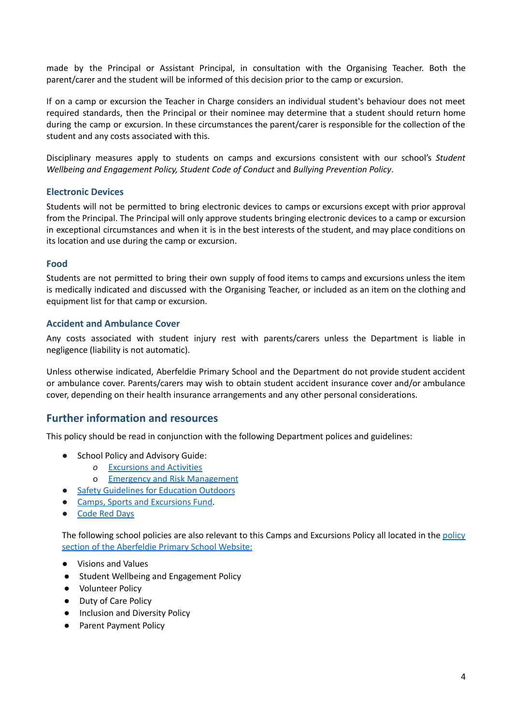made by the Principal or Assistant Principal, in consultation with the Organising Teacher. Both the parent/carer and the student will be informed of this decision prior to the camp or excursion.

If on a camp or excursion the Teacher in Charge considers an individual student's behaviour does not meet required standards, then the Principal or their nominee may determine that a student should return home during the camp or excursion. In these circumstances the parent/carer is responsible for the collection of the student and any costs associated with this.

Disciplinary measures apply to students on camps and excursions consistent with our school's *Student Wellbeing and Engagement Policy, Student Code of Conduct* and *Bullying Prevention Policy*.

#### **Electronic Devices**

Students will not be permitted to bring electronic devices to camps or excursions except with prior approval from the Principal. The Principal will only approve students bringing electronic devices to a camp or excursion in exceptional circumstances and when it is in the best interests of the student, and may place conditions on its location and use during the camp or excursion.

#### **Food**

Students are not permitted to bring their own supply of food items to camps and excursions unless the item is medically indicated and discussed with the Organising Teacher, or included as an item on the clothing and equipment list for that camp or excursion.

#### **Accident and Ambulance Cover**

Any costs associated with student injury rest with parents/carers unless the Department is liable in negligence (liability is not automatic).

Unless otherwise indicated, Aberfeldie Primary School and the Department do not provide student accident or ambulance cover. Parents/carers may wish to obtain student accident insurance cover and/or ambulance cover, depending on their health insurance arrangements and any other personal considerations.

## **Further information and resources**

This policy should be read in conjunction with the following Department polices and guidelines:

- *●* School Policy and Advisory Guide:
	- *o* [Excursions](http://www.education.vic.gov.au/school/principals/spag/safety/Pages/excursions.aspx) and Activities
	- o Emergency and Risk [Management](http://www.education.vic.gov.au/school/principals/spag/safety/Pages/excursionsafety.aspx)
- *●* Safety [Guidelines](https://www.education.vic.gov.au/school/teachers/studentmanagement/excursions/Pages/outdoorguidelines.aspx) for Education Outdoors
- *●* Camps, Sports and [Excursions](http://www.education.vic.gov.au/about/programs/Pages/csef.aspx) Fund.
- *●* [Code](https://www.education.vic.gov.au/about/programs/health/Pages/coderedabout.aspx) Red Days

The following school policies are also relevant to this Camps and Excursions Policy all located in the [policy](http://www.aberfeldieps.vic.edu.au/about.php?id=13) section of the [Aberfeldie](http://www.aberfeldieps.vic.edu.au/about.php?id=13) Primary School Website:

- Visions and Values
- Student Wellbeing and Engagement Policy
- Volunteer Policy
- Duty of Care Policy
- Inclusion and Diversity Policy
- Parent Payment Policy